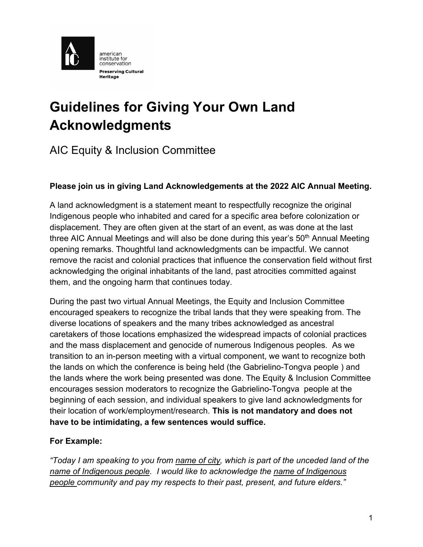

# **Guidelines for Giving Your Own Land Acknowledgments**

# AIC Equity & Inclusion Committee

# **Please join us in giving Land Acknowledgements at the 2022 AIC Annual Meeting.**

A land acknowledgment is a statement meant to respectfully recognize the original Indigenous people who inhabited and cared for a specific area before colonization or displacement. They are often given at the start of an event, as was done at the last three AIC Annual Meetings and will also be done during this year's  $50<sup>th</sup>$  Annual Meeting opening remarks. Thoughtful land acknowledgments can be impactful. We cannot remove the racist and colonial practices that influence the conservation field without first acknowledging the original inhabitants of the land, past atrocities committed against them, and the ongoing harm that continues today.

During the past two virtual Annual Meetings, the Equity and Inclusion Committee encouraged speakers to recognize the tribal lands that they were speaking from. The diverse locations of speakers and the many tribes acknowledged as ancestral caretakers of those locations emphasized the widespread impacts of colonial practices and the mass displacement and genocide of numerous Indigenous peoples. As we transition to an in-person meeting with a virtual component, we want to recognize both the lands on which the conference is being held (the Gabrielino-Tongva people ) and the lands where the work being presented was done. The Equity & Inclusion Committee encourages session moderators to recognize the Gabrielino-Tongva people at the beginning of each session, and individual speakers to give land acknowledgments for their location of work/employment/research. **This is not mandatory and does not have to be intimidating, a few sentences would suffice.**

#### **For Example:**

*"Today I am speaking to you from name of city, which is part of the unceded land of the name of Indigenous people. I would like to acknowledge the name of Indigenous people community and pay my respects to their past, present, and future elders."*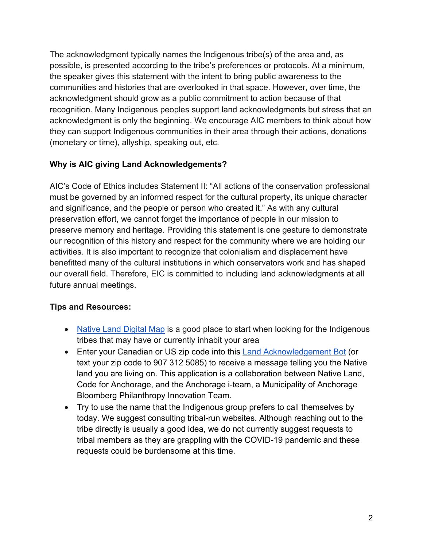The acknowledgment typically names the Indigenous tribe(s) of the area and, as possible, is presented according to the tribe's preferences or protocols. At a minimum, the speaker gives this statement with the intent to bring public awareness to the communities and histories that are overlooked in that space. However, over time, the acknowledgment should grow as a public commitment to action because of that recognition. Many Indigenous peoples support land acknowledgments but stress that an acknowledgment is only the beginning. We encourage AIC members to think about how they can support Indigenous communities in their area through their actions, donations (monetary or time), allyship, speaking out, etc.

# **Why is AIC giving Land Acknowledgements?**

AIC's Code of Ethics includes Statement II: "All actions of the conservation professional must be governed by an informed respect for the cultural property, its unique character and significance, and the people or person who created it." As with any cultural preservation effort, we cannot forget the importance of people in our mission to preserve memory and heritage. Providing this statement is one gesture to demonstrate our recognition of this history and respect for the community where we are holding our activities. It is also important to recognize that colonialism and displacement have benefitted many of the cultural institutions in which conservators work and has shaped our overall field. Therefore, EIC is committed to including land acknowledgments at all future annual meetings.

# **Tips and Resources:**

- Native Land Digital Map is a good place to start when looking for the Indigenous tribes that may have or currently inhabit your area
- Enter your Canadian or US zip code into this Land Acknowledgement Bot (or text your zip code to 907 312 5085) to receive a message telling you the Native land you are living on. This application is a collaboration between Native Land, Code for Anchorage, and the Anchorage i-team, a Municipality of Anchorage Bloomberg Philanthropy Innovation Team.
- Try to use the name that the Indigenous group prefers to call themselves by today. We suggest consulting tribal-run websites. Although reaching out to the tribe directly is usually a good idea, we do not currently suggest requests to tribal members as they are grappling with the COVID-19 pandemic and these requests could be burdensome at this time.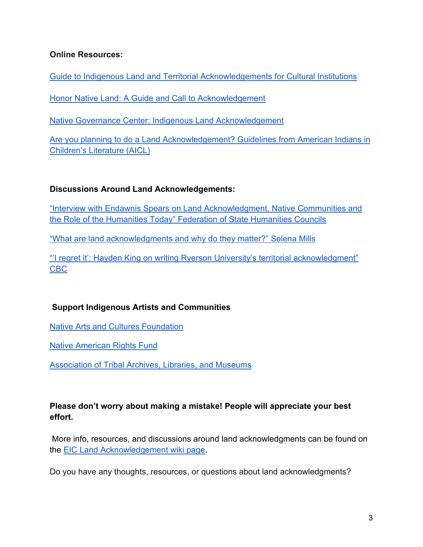#### **Online Resources:**

Guide to Indigenous Land and Territorial Acknowledgements for Cultural Institutions

Honor Native Land: A Guide and Call to Acknowledgement

Native Governance Center: Indigenous Land Acknowledgement

Are you planning to do a Land Acknowledgement? Guidelines from American Indians in Children's Literature (AICL)

# **Discussions Around Land Acknowledgements:**

"Interview with Endawnis Spears on Land Acknowledgment, Native Communities and the Role of the Humanities Today" Federation of State Humanities Councils

"What are land acknowledgments and why do they matter?" Selena Mills

"'I regret it': Hayden King on writing Ryerson University's territorial acknowledgment" CBC

# **Support Indigenous Artists and Communities**

Native Arts and Cultures Foundation

Native American Rights Fund

Association of Tribal Archives, Libraries, and Museums

# **Please don't worry about making a mistake! People will appreciate your best effort.**

More info, resources, and discussions around land acknowledgments can be found on the EIC Land Acknowledgement wiki page.

Do you have any thoughts, resources, or questions about land acknowledgments?